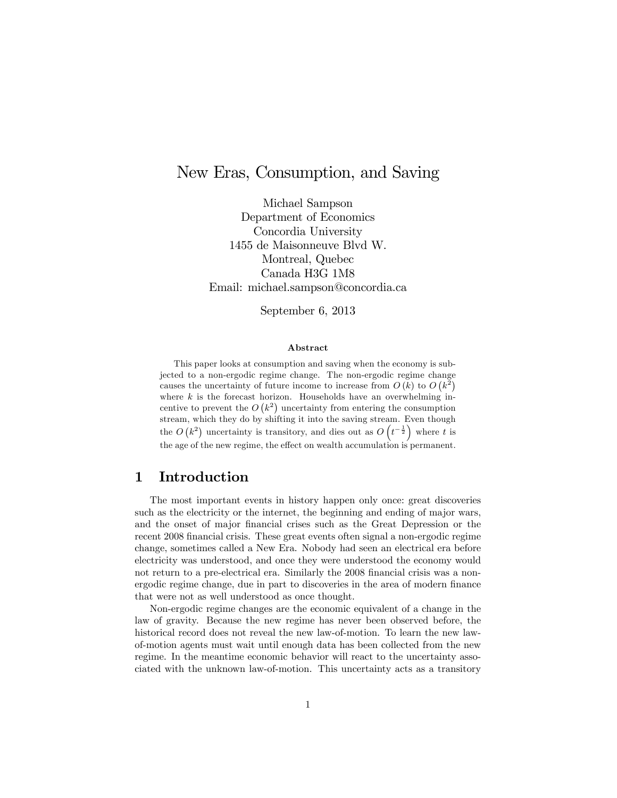# New Eras, Consumption, and Saving

Michael Sampson Department of Economics Concordia University 1455 de Maisonneuve Blvd W. Montreal, Quebec Canada H3G 1M8 Email: michael.sampson@concordia.ca

September 6, 2013

#### Abstract

This paper looks at consumption and saving when the economy is subjected to a non-ergodic regime change. The non-ergodic regime change causes the uncertainty of future income to increase from  $O(k)$  to  $O(k^2)$ where  $k$  is the forecast horizon. Households have an overwhelming incentive to prevent the  $O(k^2)$  uncertainty from entering the consumption stream, which they do by shifting it into the saving stream. Even though the  $O(k^2)$  uncertainty is transitory, and dies out as  $O(t^{-\frac{1}{2}})$  where t is the age of the new regime, the effect on wealth accumulation is permanent.

## 1 Introduction

The most important events in history happen only once: great discoveries such as the electricity or the internet, the beginning and ending of major wars, and the onset of major Önancial crises such as the Great Depression or the recent 2008 financial crisis. These great events often signal a non-ergodic regime change, sometimes called a New Era. Nobody had seen an electrical era before electricity was understood, and once they were understood the economy would not return to a pre-electrical era. Similarly the 2008 financial crisis was a nonergodic regime change, due in part to discoveries in the area of modern finance that were not as well understood as once thought.

Non-ergodic regime changes are the economic equivalent of a change in the law of gravity. Because the new regime has never been observed before, the historical record does not reveal the new law-of-motion. To learn the new lawof-motion agents must wait until enough data has been collected from the new regime. In the meantime economic behavior will react to the uncertainty associated with the unknown law-of-motion. This uncertainty acts as a transitory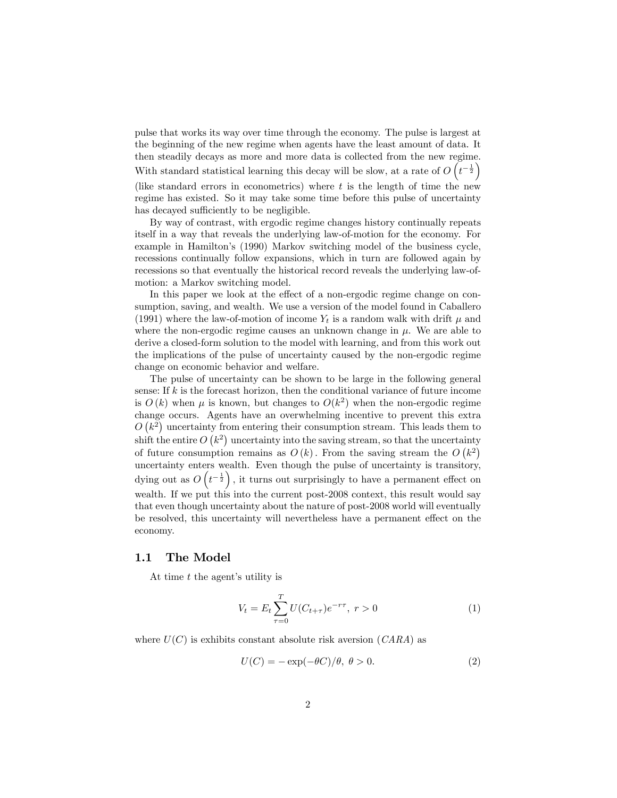pulse that works its way over time through the economy. The pulse is largest at the beginning of the new regime when agents have the least amount of data. It then steadily decays as more and more data is collected from the new regime. With standard statistical learning this decay will be slow, at a rate of  $O\left(t^{-\frac{1}{2}}\right)$ (like standard errors in econometrics) where  $t$  is the length of time the new regime has existed. So it may take some time before this pulse of uncertainty has decayed sufficiently to be negligible.

By way of contrast, with ergodic regime changes history continually repeats itself in a way that reveals the underlying law-of-motion for the economy. For example in Hamilton's (1990) Markov switching model of the business cycle, recessions continually follow expansions, which in turn are followed again by recessions so that eventually the historical record reveals the underlying law-ofmotion: a Markov switching model.

In this paper we look at the effect of a non-ergodic regime change on consumption, saving, and wealth. We use a version of the model found in Caballero (1991) where the law-of-motion of income  $Y_t$  is a random walk with drift  $\mu$  and where the non-ergodic regime causes an unknown change in  $\mu$ . We are able to derive a closed-form solution to the model with learning, and from this work out the implications of the pulse of uncertainty caused by the non-ergodic regime change on economic behavior and welfare.

The pulse of uncertainty can be shown to be large in the following general sense: If  $k$  is the forecast horizon, then the conditional variance of future income is  $O(k)$  when  $\mu$  is known, but changes to  $O(k^2)$  when the non-ergodic regime change occurs. Agents have an overwhelming incentive to prevent this extra  $O(k^2)$  uncertainty from entering their consumption stream. This leads them to shift the entire  $O(k^2)$  uncertainty into the saving stream, so that the uncertainty of future consumption remains as  $O(k)$ . From the saving stream the  $O(k^2)$ uncertainty enters wealth. Even though the pulse of uncertainty is transitory, dying out as  $O(t^{-\frac{1}{2}})$ , it turns out surprisingly to have a permanent effect on wealth. If we put this into the current post-2008 context, this result would say that even though uncertainty about the nature of post-2008 world will eventually be resolved, this uncertainty will nevertheless have a permanent effect on the economy.

#### 1.1 The Model

At time  $t$  the agent's utility is

$$
V_t = E_t \sum_{\tau=0}^{T} U(C_{t+\tau}) e^{-r\tau}, \ r > 0 \tag{1}
$$

where  $U(C)$  is exhibits constant absolute risk aversion  $(CARA)$  as

$$
U(C) = -\exp(-\theta C)/\theta, \ \theta > 0. \tag{2}
$$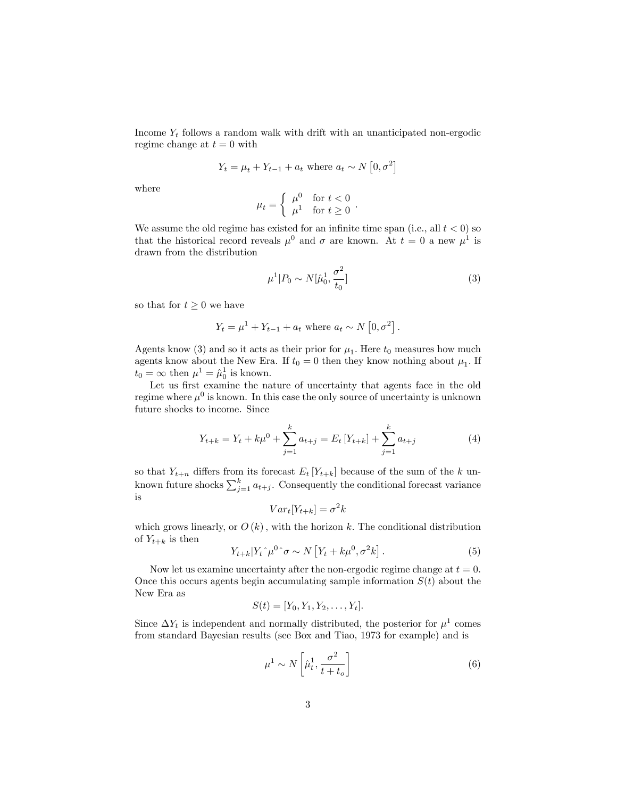Income  $Y_t$  follows a random walk with drift with an unanticipated non-ergodic regime change at  $t = 0$  with

$$
Y_t = \mu_t + Y_{t-1} + a_t \text{ where } a_t \sim N\left[0, \sigma^2\right]
$$

where

$$
\mu_t = \begin{cases} \mu^0 & \text{for } t < 0 \\ \mu^1 & \text{for } t \ge 0 \end{cases}.
$$

We assume the old regime has existed for an infinite time span (i.e., all  $t < 0$ ) so that the historical record reveals  $\mu^0$  and  $\sigma$  are known. At  $t = 0$  a new  $\mu^1$  is drawn from the distribution

$$
\mu^1 | P_0 \sim N[\hat{\mu}_0^1, \frac{\sigma^2}{t_0}] \tag{3}
$$

so that for  $t \geq 0$  we have

$$
Y_t = \mu^1 + Y_{t-1} + a_t
$$
 where  $a_t \sim N[0, \sigma^2]$ .

Agents know (3) and so it acts as their prior for  $\mu_1$ . Here  $t_0$  measures how much agents know about the New Era. If  $t_0 = 0$  then they know nothing about  $\mu_1$ . If  $t_0 = \infty$  then  $\mu^1 = \hat{\mu}_0^1$  is known.

Let us first examine the nature of uncertainty that agents face in the old regime where  $\mu^0$  is known. In this case the only source of uncertainty is unknown future shocks to income. Since

$$
Y_{t+k} = Y_t + k\mu^0 + \sum_{j=1}^k a_{t+j} = E_t \left[ Y_{t+k} \right] + \sum_{j=1}^k a_{t+j} \tag{4}
$$

so that  $Y_{t+n}$  differs from its forecast  $E_t$  [ $Y_{t+k}$ ] because of the sum of the k unknown future shocks  $\sum_{j=1}^{k} a_{t+j}$ . Consequently the conditional forecast variance is

$$
Var_t[Y_{t+k}] = \sigma^2 k
$$

which grows linearly, or  $O(k)$ , with the horizon k. The conditional distribution of  $Y_{t+k}$  is then

$$
Y_{t+k}|Y_t \hat{\mu}^0 \hat{\sigma} \sim N\left[Y_t + k\mu^0, \sigma^2 k\right]. \tag{5}
$$

Now let us examine uncertainty after the non-ergodic regime change at  $t = 0$ . Once this occurs agents begin accumulating sample information  $S(t)$  about the New Era as

$$
S(t) = [Y_0, Y_1, Y_2, \dots, Y_t].
$$

Since  $\Delta Y_t$  is independent and normally distributed, the posterior for  $\mu^1$  comes from standard Bayesian results (see Box and Tiao, 1973 for example) and is

$$
\mu^1 \sim N\left[\hat{\mu}_t^1, \frac{\sigma^2}{t+t_o}\right] \tag{6}
$$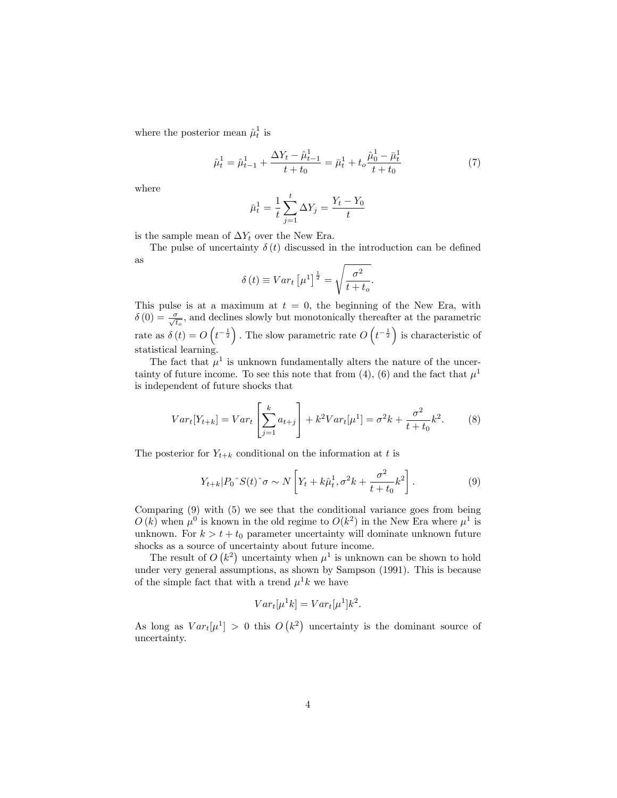where the posterior mean  $\hat{\mu}_t^1$  is

$$
\hat{\mu}_t^1 = \hat{\mu}_{t-1}^1 + \frac{\Delta Y_t - \hat{\mu}_{t-1}^1}{t + t_0} = \bar{\mu}_t^1 + t_o \frac{\hat{\mu}_0^1 - \bar{\mu}_t^1}{t + t_0} \tag{7}
$$

where

$$
\bar{\mu}_t^1 = \frac{1}{t} \sum_{j=1}^t \Delta Y_j = \frac{Y_t - Y_0}{t}
$$

is the sample mean of  $\Delta Y_t$  over the New Era.

The pulse of uncertainty  $\delta(t)$  discussed in the introduction can be defined as

$$
\delta(t) \equiv Var_t \left[ \mu^1 \right]^{\frac{1}{2}} = \sqrt{\frac{\sigma^2}{t + t_o}}.
$$

This pulse is at a maximum at  $t = 0$ , the beginning of the New Era, with  $\delta(0) = \frac{\sigma}{\sqrt{t_o}}$ , and declines slowly but monotonically thereafter at the parametric rate as  $\delta(t) = O\left(t^{-\frac{1}{2}}\right)$ . The slow parametric rate  $O\left(t^{-\frac{1}{2}}\right)$  is characteristic of statistical learning.

The fact that  $\mu^1$  is unknown fundamentally alters the nature of the uncertainty of future income. To see this note that from (4), (6) and the fact that  $\mu^1$ is independent of future shocks that

$$
Var_t[Y_{t+k}] = Var_t \left[\sum_{j=1}^k a_{t+j}\right] + k^2 Var_t[\mu^1] = \sigma^2 k + \frac{\sigma^2}{t+t_0}k^2.
$$
 (8)

The posterior for  $Y_{t+k}$  conditional on the information at t is

$$
Y_{t+k}|P_0\hat{S}(t)\hat{\sigma} \sim N\left[Y_t + k\hat{\mu}_t^1, \sigma^2 k + \frac{\sigma^2}{t+t_0}k^2\right].\tag{9}
$$

Comparing (9) with (5) we see that the conditional variance goes from being  $O(k)$  when  $\mu^0$  is known in the old regime to  $O(k^2)$  in the New Era where  $\mu^1$  is unknown. For  $k > t + t_0$  parameter uncertainty will dominate unknown future shocks as a source of uncertainty about future income.

The result of  $O(k^2)$  uncertainty when  $\mu^1$  is unknown can be shown to hold under very general assumptions, as shown by Sampson (1991). This is because of the simple fact that with a trend  $\mu^1 k$  we have

$$
Var_t[\mu^1 k] = Var_t[\mu^1]k^2.
$$

As long as  $Var_t[\mu^1] > 0$  this  $O(k^2)$  uncertainty is the dominant source of uncertainty.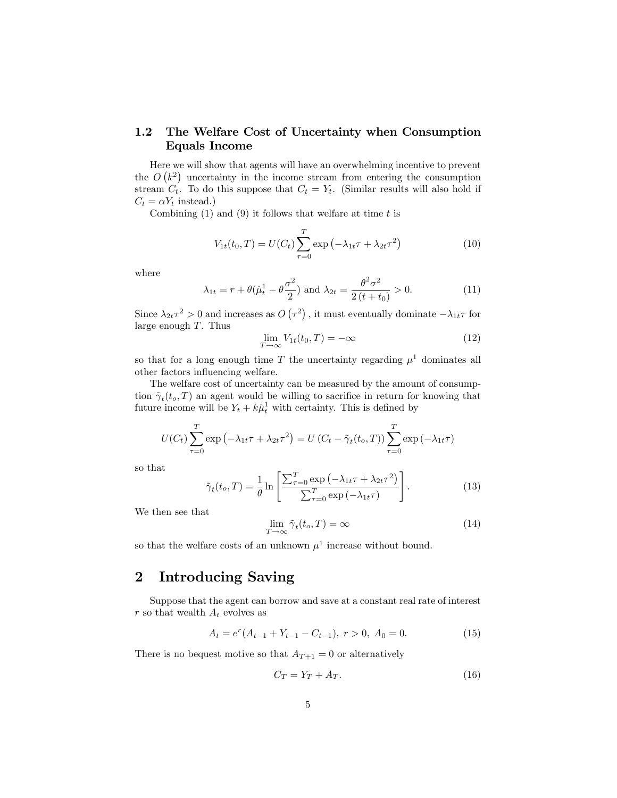#### 1.2 The Welfare Cost of Uncertainty when Consumption Equals Income

Here we will show that agents will have an overwhelming incentive to prevent the  $O(k^2)$  uncertainty in the income stream from entering the consumption stream  $C_t$ . To do this suppose that  $C_t = Y_t$ . (Similar results will also hold if  $C_t = \alpha Y_t$  instead.)

Combining  $(1)$  and  $(9)$  it follows that welfare at time t is

$$
V_{1t}(t_0, T) = U(C_t) \sum_{\tau=0}^{T} \exp\left(-\lambda_{1t}\tau + \lambda_{2t}\tau^2\right)
$$
 (10)

where

$$
\lambda_{1t} = r + \theta(\hat{\mu}_t^1 - \theta \frac{\sigma^2}{2})
$$
 and  $\lambda_{2t} = \frac{\theta^2 \sigma^2}{2(t + t_0)} > 0.$  (11)

Since  $\lambda_{2t} \tau^2 > 0$  and increases as  $O(\tau^2)$ , it must eventually dominate  $-\lambda_{1t} \tau$  for large enough T. Thus

$$
\lim_{T \to \infty} V_{1t}(t_0, T) = -\infty \tag{12}
$$

so that for a long enough time T the uncertainty regarding  $\mu^1$  dominates all other factors influencing welfare.

The welfare cost of uncertainty can be measured by the amount of consumption  $\tilde{\gamma}_t(t_o, T)$  an agent would be willing to sacrifice in return for knowing that future income will be  $Y_t + k\hat{\mu}_t^1$  with certainty. This is defined by

$$
U(C_t) \sum_{\tau=0}^{T} \exp \left(-\lambda_{1t} \tau + \lambda_{2t} \tau^2\right) = U\left(C_t - \tilde{\gamma}_t(t_o, T)\right) \sum_{\tau=0}^{T} \exp \left(-\lambda_{1t} \tau\right)
$$

so that

$$
\tilde{\gamma}_t(t_o, T) = \frac{1}{\theta} \ln \left[ \frac{\sum_{\tau=0}^T \exp \left( -\lambda_{1t} \tau + \lambda_{2t} \tau^2 \right)}{\sum_{\tau=0}^T \exp \left( -\lambda_{1t} \tau \right)} \right]. \tag{13}
$$

We then see that

$$
\lim_{T \to \infty} \tilde{\gamma}_t(t_o, T) = \infty \tag{14}
$$

so that the welfare costs of an unknown  $\mu^1$  increase without bound.

## 2 Introducing Saving

Suppose that the agent can borrow and save at a constant real rate of interest r so that wealth  $A_t$  evolves as

$$
A_t = e^r (A_{t-1} + Y_{t-1} - C_{t-1}), \ r > 0, \ A_0 = 0.
$$
 (15)

There is no bequest motive so that  $A_{T+1} = 0$  or alternatively

$$
C_T = Y_T + A_T. \t\t(16)
$$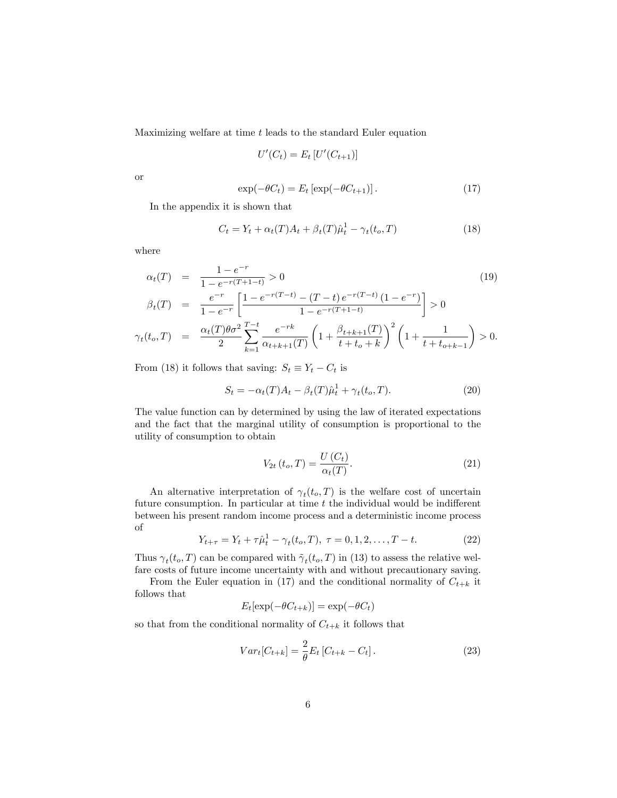Maximizing welfare at time t leads to the standard Euler equation

$$
U'(C_t) = E_t \left[ U'(C_{t+1}) \right]
$$

or

$$
\exp(-\theta C_t) = E_t \left[ \exp(-\theta C_{t+1}) \right]. \tag{17}
$$

In the appendix it is shown that

$$
C_t = Y_t + \alpha_t(T)A_t + \beta_t(T)\hat{\mu}_t^1 - \gamma_t(t_o, T) \tag{18}
$$

where

$$
\alpha_t(T) = \frac{1 - e^{-r}}{1 - e^{-r(T + 1 - t)}} > 0
$$
\n
$$
\beta_t(T) = \frac{e^{-r}}{1 - e^{-r}} \left[ \frac{1 - e^{-r(T - t)} - (T - t) e^{-r(T - t)} (1 - e^{-r})}{1 - e^{-r(T + 1 - t)}} \right] > 0
$$
\n
$$
\gamma_t(t_o, T) = \frac{\alpha_t(T) \theta \sigma^2}{2} \sum_{k=1}^{T - t} \frac{e^{-rk}}{\alpha_{t + k + 1}(T)} \left( 1 + \frac{\beta_{t + k + 1}(T)}{t + t_o + k} \right)^2 \left( 1 + \frac{1}{t + t_{o + k - 1}} \right) > 0.
$$
\n(19)

From (18) it follows that saving:  $S_t \equiv Y_t - C_t$  is

$$
S_t = -\alpha_t(T)A_t - \beta_t(T)\hat{\mu}_t^1 + \gamma_t(t_o, T). \tag{20}
$$

The value function can by determined by using the law of iterated expectations and the fact that the marginal utility of consumption is proportional to the utility of consumption to obtain

$$
V_{2t}\left(t_o, T\right) = \frac{U\left(C_t\right)}{\alpha_t(T)}.\tag{21}
$$

An alternative interpretation of  $\gamma_t(t_o,T)$  is the welfare cost of uncertain future consumption. In particular at time  $t$  the individual would be indifferent between his present random income process and a deterministic income process of

$$
Y_{t+\tau} = Y_t + \tau \hat{\mu}_t^1 - \gamma_t(t_o, T), \ \tau = 0, 1, 2, \dots, T - t. \tag{22}
$$

Thus  $\gamma_t(t_o, T)$  can be compared with  $\tilde{\gamma}_t(t_o, T)$  in (13) to assess the relative welfare costs of future income uncertainty with and without precautionary saving.

From the Euler equation in (17) and the conditional normality of  $C_{t+k}$  it follows that

$$
E_t[\exp(-\theta C_{t+k})] = \exp(-\theta C_t)
$$

so that from the conditional normality of  $C_{t+k}$  it follows that

$$
Var_t[C_{t+k}] = \frac{2}{\theta} E_t [C_{t+k} - C_t].
$$
\n(23)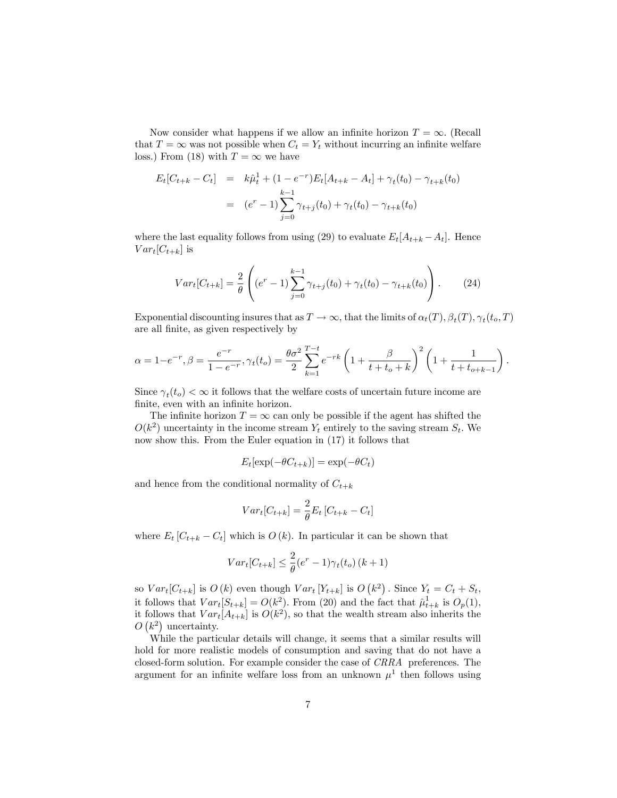Now consider what happens if we allow an infinite horizon  $T = \infty$ . (Recall that  $T = \infty$  was not possible when  $C_t = Y_t$  without incurring an infinite welfare loss.) From (18) with  $T = \infty$  we have

$$
E_t[C_{t+k} - C_t] = k\hat{\mu}_t^1 + (1 - e^{-r})E_t[A_{t+k} - A_t] + \gamma_t(t_0) - \gamma_{t+k}(t_0)
$$
  

$$
= (e^r - 1)\sum_{j=0}^{k-1} \gamma_{t+j}(t_0) + \gamma_t(t_0) - \gamma_{t+k}(t_0)
$$

where the last equality follows from using (29) to evaluate  $E_t[A_{t+k} - A_t]$ . Hence  $Var_t[C_{t+k}]$  is

$$
Var_t[C_{t+k}] = \frac{2}{\theta} \left( (e^r - 1) \sum_{j=0}^{k-1} \gamma_{t+j}(t_0) + \gamma_t(t_0) - \gamma_{t+k}(t_0) \right). \tag{24}
$$

Exponential discounting insures that as  $T \to \infty$ , that the limits of  $\alpha_t(T)$ ,  $\beta_t(T)$ ,  $\gamma_t(t_o, T)$ are all Önite, as given respectively by

$$
\alpha = 1 - e^{-r}, \beta = \frac{e^{-r}}{1 - e^{-r}}, \gamma_t(t_o) = \frac{\theta \sigma^2}{2} \sum_{k=1}^{T-t} e^{-rk} \left( 1 + \frac{\beta}{t + t_o + k} \right)^2 \left( 1 + \frac{1}{t + t_{o+k-1}} \right).
$$

Since  $\gamma_t(t_o) < \infty$  it follows that the welfare costs of uncertain future income are finite, even with an infinite horizon.

The infinite horizon  $T = \infty$  can only be possible if the agent has shifted the  $O(k^2)$  uncertainty in the income stream  $Y_t$  entirely to the saving stream  $S_t$ . We now show this. From the Euler equation in (17) it follows that

$$
E_t[\exp(-\theta C_{t+k})] = \exp(-\theta C_t)
$$

and hence from the conditional normality of  $C_{t+k}$ 

$$
Var_t[C_{t+k}] = \frac{2}{\theta} E_t [C_{t+k} - C_t]
$$

where  $E_t [C_{t+k} - C_t]$  which is  $O(k)$ . In particular it can be shown that

$$
Var_t[C_{t+k}] \le \frac{2}{\theta} (e^r - 1)\gamma_t(t_o) (k+1)
$$

so  $Var_t[C_{t+k}]$  is  $O(k)$  even though  $Var_t[Y_{t+k}]$  is  $O(k^2)$ . Since  $Y_t = C_t + S_t$ , it follows that  $Var_t[S_{t+k}] = O(k^2)$ . From (20) and the fact that  $\hat{\mu}_{t+k}^1$  is  $O_p(1)$ , it follows that  $Var_t[A_{t+k}]$  is  $O(k^2)$ , so that the wealth stream also inherits the  $O(k^2)$  uncertainty.

While the particular details will change, it seems that a similar results will hold for more realistic models of consumption and saving that do not have a closed-form solution. For example consider the case of CRRA preferences. The argument for an infinite welfare loss from an unknown  $\mu^1$  then follows using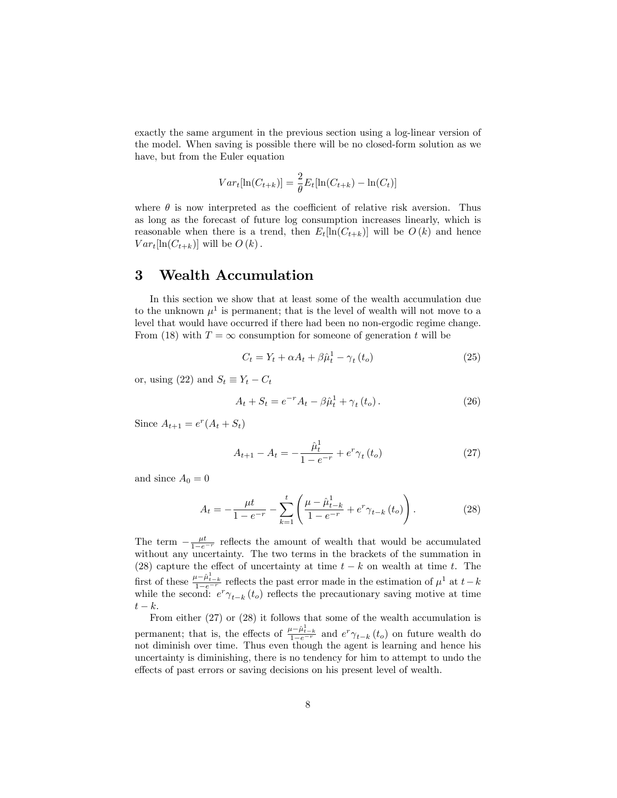exactly the same argument in the previous section using a log-linear version of the model. When saving is possible there will be no closed-form solution as we have, but from the Euler equation

$$
Var_t[\ln(C_{t+k})] = \frac{2}{\theta} E_t[\ln(C_{t+k}) - \ln(C_t)]
$$

where  $\theta$  is now interpreted as the coefficient of relative risk aversion. Thus as long as the forecast of future log consumption increases linearly, which is reasonable when there is a trend, then  $E_t[\ln(C_{t+k})]$  will be  $O(k)$  and hence  $Var_t[\ln(C_{t+k})]$  will be  $O(k)$ .

## 3 Wealth Accumulation

In this section we show that at least some of the wealth accumulation due to the unknown  $\mu^1$  is permanent; that is the level of wealth will not move to a level that would have occurred if there had been no non-ergodic regime change. From (18) with  $T = \infty$  consumption for someone of generation t will be

$$
C_t = Y_t + \alpha A_t + \beta \hat{\mu}_t^1 - \gamma_t \left( t_o \right) \tag{25}
$$

or, using (22) and  $S_t \equiv Y_t - C_t$ 

$$
A_t + S_t = e^{-r} A_t - \beta \hat{\mu}_t^1 + \gamma_t (t_o).
$$
 (26)

Since  $A_{t+1} = e^r (A_t + S_t)$ 

$$
A_{t+1} - A_t = -\frac{\hat{\mu}_t^1}{1 - e^{-r}} + e^r \gamma_t(t_o)
$$
 (27)

and since  $A_0 = 0$ 

$$
A_{t} = -\frac{\mu t}{1 - e^{-r}} - \sum_{k=1}^{t} \left( \frac{\mu - \hat{\mu}_{t-k}^{1}}{1 - e^{-r}} + e^{r} \gamma_{t-k} \left( t_{o} \right) \right). \tag{28}
$$

The term  $-\frac{\mu t}{1-e^{-r}}$  reflects the amount of wealth that would be accumulated without any uncertainty. The two terms in the brackets of the summation in (28) capture the effect of uncertainty at time  $t - k$  on wealth at time t. The first of these  $\frac{\mu - \hat{\mu}_{t-k}}{1 - e^{-r}}$  reflects the past error made in the estimation of  $\mu^1$  at  $t-k$ while the second:  $e^r \gamma_{t-k}(t_o)$  reflects the precautionary saving motive at time  $t - k$ .

From either (27) or (28) it follows that some of the wealth accumulation is permanent; that is, the effects of  $\frac{\mu - \hat{\mu}_{t-k}^1}{1 - e^{-r}}$  and  $e^r \gamma_{t-k}(t_o)$  on future wealth do not diminish over time. Thus even though the agent is learning and hence his uncertainty is diminishing, there is no tendency for him to attempt to undo the effects of past errors or saving decisions on his present level of wealth.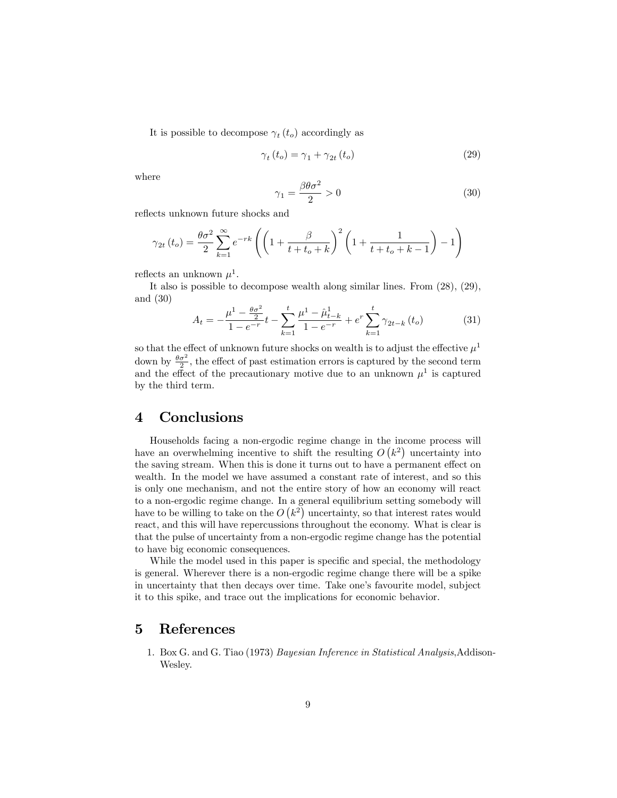It is possible to decompose  $\gamma_t(t_o)$  accordingly as

$$
\gamma_t(t_o) = \gamma_1 + \gamma_{2t}(t_o) \tag{29}
$$

where

$$
\gamma_1 = \frac{\beta \theta \sigma^2}{2} > 0 \tag{30}
$$

reflects unknown future shocks and

$$
\gamma_{2t} (t_o) = \frac{\theta \sigma^2}{2} \sum_{k=1}^{\infty} e^{-rk} \left( \left( 1 + \frac{\beta}{t + t_o + k} \right)^2 \left( 1 + \frac{1}{t + t_o + k - 1} \right) - 1 \right)
$$

reflects an unknown  $\mu^1$ .

It also is possible to decompose wealth along similar lines. From (28), (29), and (30)

$$
A_{t} = -\frac{\mu^{1} - \frac{\theta \sigma^{2}}{2}}{1 - e^{-r}} t - \sum_{k=1}^{t} \frac{\mu^{1} - \hat{\mu}_{t-k}^{1}}{1 - e^{-r}} + e^{r} \sum_{k=1}^{t} \gamma_{2t-k} (t_{o})
$$
(31)

so that the effect of unknown future shocks on wealth is to adjust the effective  $\mu^1$ down by  $\frac{\theta \sigma^2}{2}$ , the effect of past estimation errors is captured by the second term and the effect of the precautionary motive due to an unknown  $\mu^1$  is captured by the third term.

## 4 Conclusions

Households facing a non-ergodic regime change in the income process will have an overwhelming incentive to shift the resulting  $O(k^2)$  uncertainty into the saving stream. When this is done it turns out to have a permanent effect on wealth. In the model we have assumed a constant rate of interest, and so this is only one mechanism, and not the entire story of how an economy will react to a non-ergodic regime change. In a general equilibrium setting somebody will have to be willing to take on the  $O(k^2)$  uncertainty, so that interest rates would react, and this will have repercussions throughout the economy. What is clear is that the pulse of uncertainty from a non-ergodic regime change has the potential to have big economic consequences.

While the model used in this paper is specific and special, the methodology is general. Wherever there is a non-ergodic regime change there will be a spike in uncertainty that then decays over time. Take one's favourite model, subject it to this spike, and trace out the implications for economic behavior.

## 5 References

1. Box G. and G. Tiao (1973) Bayesian Inference in Statistical Analysis,Addison-Wesley.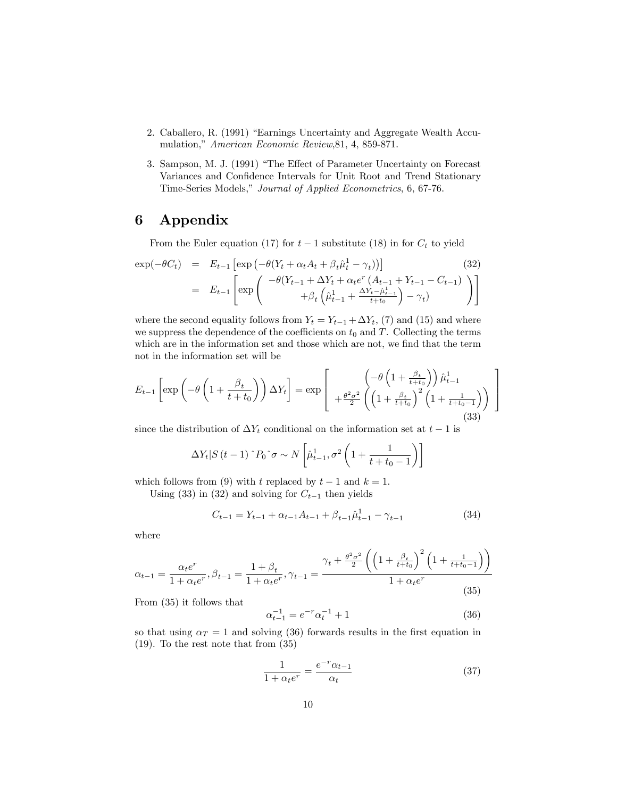- 2. Caballero, R. (1991) "Earnings Uncertainty and Aggregate Wealth Accumulation," American Economic Review, 81, 4, 859-871.
- 3. Sampson, M. J. (1991) "The Effect of Parameter Uncertainty on Forecast Variances and Confidence Intervals for Unit Root and Trend Stationary Time-Series Models," Journal of Applied Econometrics, 6, 67-76.

## 6 Appendix

From the Euler equation (17) for  $t-1$  substitute (18) in for  $C_t$  to yield

$$
\exp(-\theta C_t) = E_{t-1} \left[ \exp \left( -\theta (Y_t + \alpha_t A_t + \beta_t \hat{\mu}_t^1 - \gamma_t) \right) \right]
$$
(32)  

$$
= E_{t-1} \left[ \exp \left( \frac{-\theta (Y_{t-1} + \Delta Y_t + \alpha_t e^r (A_{t-1} + Y_{t-1} - C_{t-1})}{\beta_t \left( \hat{\mu}_{t-1}^1 + \frac{\Delta Y_t - \hat{\mu}_{t-1}^1}{t+t_0} \right) - \gamma_t} \right) \right]
$$

where the second equality follows from  $Y_t = Y_{t-1} + \Delta Y_t$ , (7) and (15) and where we suppress the dependence of the coefficients on  $t_0$  and T. Collecting the terms which are in the information set and those which are not, we find that the term not in the information set will be

$$
E_{t-1}\left[\exp\left(-\theta\left(1+\frac{\beta_t}{t+t_0}\right)\right)\Delta Y_t\right] = \exp\left[\begin{array}{c} \left(-\theta\left(1+\frac{\beta_t}{t+t_0}\right)\right)\hat{\mu}_{t-1}^1\\+\frac{\theta^2\sigma^2}{2}\left(\left(1+\frac{\beta_t}{t+t_0}\right)^2\left(1+\frac{1}{t+t_0-1}\right)\right) \end{array}\right] \tag{33}
$$

since the distribution of  $\Delta Y_t$  conditional on the information set at  $t-1$  is

$$
\Delta Y_t | S(t-1) \cap P_0 \cap \sigma \sim N\left[\hat{\mu}_{t-1}^1, \sigma^2 \left(1 + \frac{1}{t + t_0 - 1}\right)\right]
$$

which follows from (9) with t replaced by  $t-1$  and  $k = 1$ .

Using (33) in (32) and solving for  $C_{t-1}$  then yields

$$
C_{t-1} = Y_{t-1} + \alpha_{t-1}A_{t-1} + \beta_{t-1}\hat{\mu}_{t-1}^1 - \gamma_{t-1}
$$
\n(34)

where

$$
\alpha_{t-1} = \frac{\alpha_t e^r}{1 + \alpha_t e^r}, \beta_{t-1} = \frac{1 + \beta_t}{1 + \alpha_t e^r}, \gamma_{t-1} = \frac{\gamma_t + \frac{\theta^2 \sigma^2}{2} \left( \left( 1 + \frac{\beta_t}{t + t_0} \right)^2 \left( 1 + \frac{1}{t + t_0 - 1} \right) \right)}{1 + \alpha_t e^r}
$$
(35)

From (35) it follows that

$$
\alpha_{t-1}^{-1} = e^{-r} \alpha_t^{-1} + 1 \tag{36}
$$

so that using  $\alpha_T = 1$  and solving (36) forwards results in the first equation in (19). To the rest note that from (35)

$$
\frac{1}{1 + \alpha_t e^r} = \frac{e^{-r} \alpha_{t-1}}{\alpha_t} \tag{37}
$$